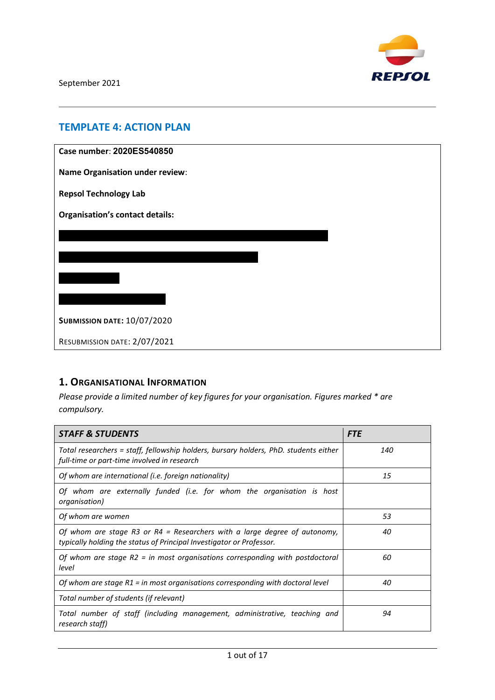

# **TEMPLATE 4: ACTION PLAN**

| Case number: 2020ES540850              |  |  |  |  |
|----------------------------------------|--|--|--|--|
| <b>Name Organisation under review:</b> |  |  |  |  |
| <b>Repsol Technology Lab</b>           |  |  |  |  |
| <b>Organisation's contact details:</b> |  |  |  |  |
|                                        |  |  |  |  |
|                                        |  |  |  |  |
|                                        |  |  |  |  |
|                                        |  |  |  |  |
| <b>SUBMISSION DATE: 10/07/2020</b>     |  |  |  |  |
| RESUBMISSION DATE: 2/07/2021           |  |  |  |  |

# **1. ORGANISATIONAL INFORMATION**

*Please provide a limited number of key figures for your organisation. Figures marked \* are compulsory.*

| <b>STAFF &amp; STUDENTS</b>                                                                                                                       | <b>FTE</b> |
|---------------------------------------------------------------------------------------------------------------------------------------------------|------------|
| Total researchers = staff, fellowship holders, bursary holders, PhD. students either<br>full-time or part-time involved in research               | 140        |
| Of whom are international (i.e. foreign nationality)                                                                                              | 15         |
| Of whom are externally funded (i.e. for whom the organisation is host<br>organisation)                                                            |            |
| Of whom are women                                                                                                                                 | 53         |
| Of whom are stage R3 or R4 = Researchers with a large degree of autonomy,<br>typically holding the status of Principal Investigator or Professor. | 40         |
| Of whom are stage $R2 = in$ most organisations corresponding with postdoctoral<br>level                                                           | 60         |
| Of whom are stage $R1$ = in most organisations corresponding with doctoral level                                                                  | 40         |
| Total number of students (if relevant)                                                                                                            |            |
| Total number of staff (including management, administrative, teaching and<br>research staff)                                                      | 94         |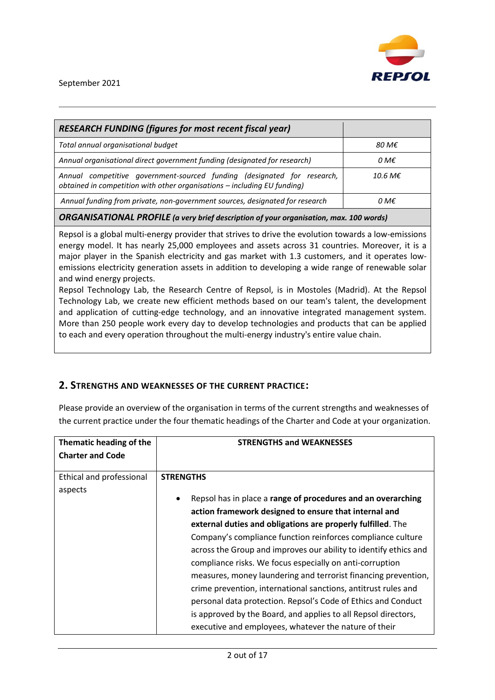

| <b>RESEARCH FUNDING (figures for most recent fiscal year)</b>                                                                                       |                   |  |  |  |
|-----------------------------------------------------------------------------------------------------------------------------------------------------|-------------------|--|--|--|
| Total annual organisational budget                                                                                                                  | 80 M€             |  |  |  |
| Annual organisational direct government funding (designated for research)                                                                           | 0 M€              |  |  |  |
| Annual competitive government-sourced funding (designated for research,<br>obtained in competition with other organisations - including EU funding) | 10.6 M $\epsilon$ |  |  |  |
| Annual funding from private, non-government sources, designated for research                                                                        | 0 M€              |  |  |  |
| <b>ORGANISATIONAL PROFILE</b> (a very brief description of your organisation, max. 100 words)                                                       |                   |  |  |  |

Repsol is a global multi-energy provider that strives to drive the evolution towards a low-emissions energy model. It has nearly 25,000 employees and assets across 31 countries. Moreover, it is a major player in the Spanish electricity and gas market with 1.3 customers, and it operates lowemissions electricity generation assets in addition to developing a wide range of renewable solar and wind energy projects.

Repsol Technology Lab, the Research Centre of Repsol, is in Mostoles (Madrid). At the Repsol Technology Lab, we create new efficient methods based on our team's talent, the development and application of cutting-edge technology, and an innovative integrated management system. More than 250 people work every day to develop technologies and products that can be applied to each and every operation throughout the multi-energy industry's entire value chain.

### **2. STRENGTHS AND WEAKNESSES OF THE CURRENT PRACTICE:**

Please provide an overview of the organisation in terms of the current strengths and weaknesses of the current practice under the four thematic headings of the Charter and Code at your organization.

| Thematic heading of the  | <b>STRENGTHS and WEAKNESSES</b>                                   |  |
|--------------------------|-------------------------------------------------------------------|--|
| <b>Charter and Code</b>  |                                                                   |  |
|                          |                                                                   |  |
| Ethical and professional | <b>STRENGTHS</b>                                                  |  |
| aspects                  |                                                                   |  |
|                          | Repsol has in place a range of procedures and an overarching<br>٠ |  |
|                          | action framework designed to ensure that internal and             |  |
|                          | external duties and obligations are properly fulfilled. The       |  |
|                          | Company's compliance function reinforces compliance culture       |  |
|                          | across the Group and improves our ability to identify ethics and  |  |
|                          | compliance risks. We focus especially on anti-corruption          |  |
|                          | measures, money laundering and terrorist financing prevention,    |  |
|                          | crime prevention, international sanctions, antitrust rules and    |  |
|                          | personal data protection. Repsol's Code of Ethics and Conduct     |  |
|                          | is approved by the Board, and applies to all Repsol directors,    |  |
|                          | executive and employees, whatever the nature of their             |  |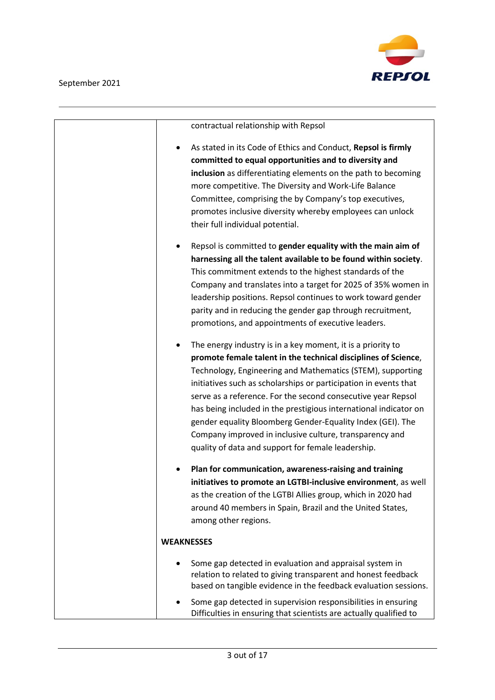

|   | contractual relationship with Repsol                               |
|---|--------------------------------------------------------------------|
| ٠ | As stated in its Code of Ethics and Conduct, Repsol is firmly      |
|   | committed to equal opportunities and to diversity and              |
|   | inclusion as differentiating elements on the path to becoming      |
|   | more competitive. The Diversity and Work-Life Balance              |
|   | Committee, comprising the by Company's top executives,             |
|   | promotes inclusive diversity whereby employees can unlock          |
|   | their full individual potential.                                   |
| ٠ | Repsol is committed to gender equality with the main aim of        |
|   | harnessing all the talent available to be found within society.    |
|   | This commitment extends to the highest standards of the            |
|   | Company and translates into a target for 2025 of 35% women in      |
|   | leadership positions. Repsol continues to work toward gender       |
|   | parity and in reducing the gender gap through recruitment,         |
|   | promotions, and appointments of executive leaders.                 |
|   |                                                                    |
| ٠ | The energy industry is in a key moment, it is a priority to        |
|   | promote female talent in the technical disciplines of Science,     |
|   | Technology, Engineering and Mathematics (STEM), supporting         |
|   | initiatives such as scholarships or participation in events that   |
|   | serve as a reference. For the second consecutive year Repsol       |
|   | has being included in the prestigious international indicator on   |
|   | gender equality Bloomberg Gender-Equality Index (GEI). The         |
|   | Company improved in inclusive culture, transparency and            |
|   | quality of data and support for female leadership.                 |
|   | Plan for communication, awareness-raising and training             |
|   | initiatives to promote an LGTBI-inclusive environment, as well     |
|   | as the creation of the LGTBI Allies group, which in 2020 had       |
|   | around 40 members in Spain, Brazil and the United States,          |
|   | among other regions.                                               |
|   |                                                                    |
|   | <b>WEAKNESSES</b>                                                  |
|   | Some gap detected in evaluation and appraisal system in            |
|   | relation to related to giving transparent and honest feedback      |
|   | based on tangible evidence in the feedback evaluation sessions.    |
|   | Some gap detected in supervision responsibilities in ensuring      |
|   | Difficulties in ensuring that scientists are actually qualified to |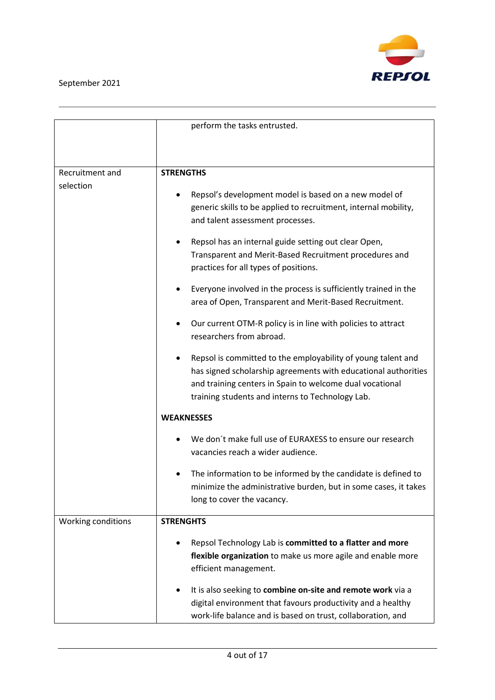

|                    | perform the tasks entrusted.                                      |  |  |  |
|--------------------|-------------------------------------------------------------------|--|--|--|
|                    |                                                                   |  |  |  |
|                    |                                                                   |  |  |  |
| Recruitment and    |                                                                   |  |  |  |
| selection          | <b>STRENGTHS</b>                                                  |  |  |  |
|                    | Repsol's development model is based on a new model of             |  |  |  |
|                    | generic skills to be applied to recruitment, internal mobility,   |  |  |  |
|                    | and talent assessment processes.                                  |  |  |  |
|                    | Repsol has an internal guide setting out clear Open,              |  |  |  |
|                    | Transparent and Merit-Based Recruitment procedures and            |  |  |  |
|                    | practices for all types of positions.                             |  |  |  |
|                    | Everyone involved in the process is sufficiently trained in the   |  |  |  |
|                    | area of Open, Transparent and Merit-Based Recruitment.            |  |  |  |
|                    | Our current OTM-R policy is in line with policies to attract      |  |  |  |
|                    | researchers from abroad.                                          |  |  |  |
|                    | Repsol is committed to the employability of young talent and<br>٠ |  |  |  |
|                    | has signed scholarship agreements with educational authorities    |  |  |  |
|                    | and training centers in Spain to welcome dual vocational          |  |  |  |
|                    | training students and interns to Technology Lab.                  |  |  |  |
|                    | <b>WEAKNESSES</b>                                                 |  |  |  |
|                    | We don't make full use of EURAXESS to ensure our research         |  |  |  |
|                    | vacancies reach a wider audience.                                 |  |  |  |
|                    | The information to be informed by the candidate is defined to     |  |  |  |
|                    | minimize the administrative burden, but in some cases, it takes   |  |  |  |
|                    | long to cover the vacancy.                                        |  |  |  |
| Working conditions | <b>STRENGHTS</b>                                                  |  |  |  |
|                    | Repsol Technology Lab is committed to a flatter and more          |  |  |  |
|                    | flexible organization to make us more agile and enable more       |  |  |  |
|                    | efficient management.                                             |  |  |  |
|                    | It is also seeking to combine on-site and remote work via a       |  |  |  |
|                    | digital environment that favours productivity and a healthy       |  |  |  |
|                    | work-life balance and is based on trust, collaboration, and       |  |  |  |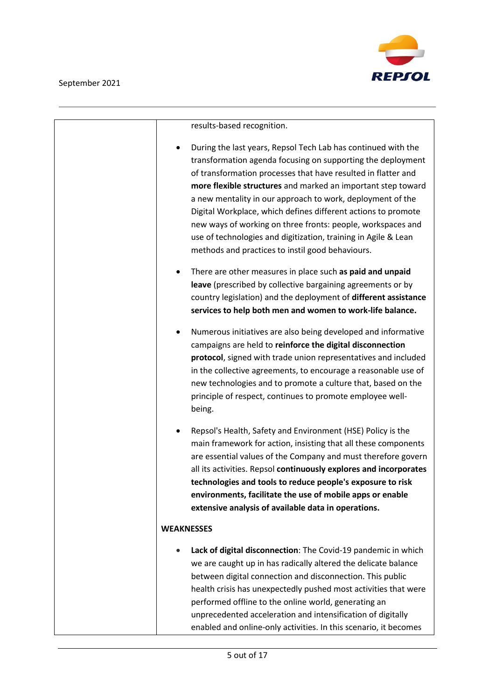

| results-based recognition.                                                                                                                                                                                                                                                                                                                                                                                                                                                                                                                                                                     |
|------------------------------------------------------------------------------------------------------------------------------------------------------------------------------------------------------------------------------------------------------------------------------------------------------------------------------------------------------------------------------------------------------------------------------------------------------------------------------------------------------------------------------------------------------------------------------------------------|
| During the last years, Repsol Tech Lab has continued with the<br>$\bullet$<br>transformation agenda focusing on supporting the deployment<br>of transformation processes that have resulted in flatter and<br>more flexible structures and marked an important step toward<br>a new mentality in our approach to work, deployment of the<br>Digital Workplace, which defines different actions to promote<br>new ways of working on three fronts: people, workspaces and<br>use of technologies and digitization, training in Agile & Lean<br>methods and practices to instil good behaviours. |
| There are other measures in place such as paid and unpaid<br>٠<br>leave (prescribed by collective bargaining agreements or by<br>country legislation) and the deployment of different assistance<br>services to help both men and women to work-life balance.                                                                                                                                                                                                                                                                                                                                  |
| Numerous initiatives are also being developed and informative<br>٠<br>campaigns are held to reinforce the digital disconnection<br>protocol, signed with trade union representatives and included<br>in the collective agreements, to encourage a reasonable use of<br>new technologies and to promote a culture that, based on the<br>principle of respect, continues to promote employee well-<br>being.                                                                                                                                                                                     |
| Repsol's Health, Safety and Environment (HSE) Policy is the<br>main framework for action, insisting that all these components<br>are essential values of the Company and must therefore govern<br>all its activities. Repsol continuously explores and incorporates<br>technologies and tools to reduce people's exposure to risk<br>environments, facilitate the use of mobile apps or enable<br>extensive analysis of available data in operations.                                                                                                                                          |
| <b>WEAKNESSES</b>                                                                                                                                                                                                                                                                                                                                                                                                                                                                                                                                                                              |
| Lack of digital disconnection: The Covid-19 pandemic in which<br>we are caught up in has radically altered the delicate balance<br>between digital connection and disconnection. This public<br>health crisis has unexpectedly pushed most activities that were<br>performed offline to the online world, generating an<br>unprecedented acceleration and intensification of digitally<br>enabled and online-only activities. In this scenario, it becomes                                                                                                                                     |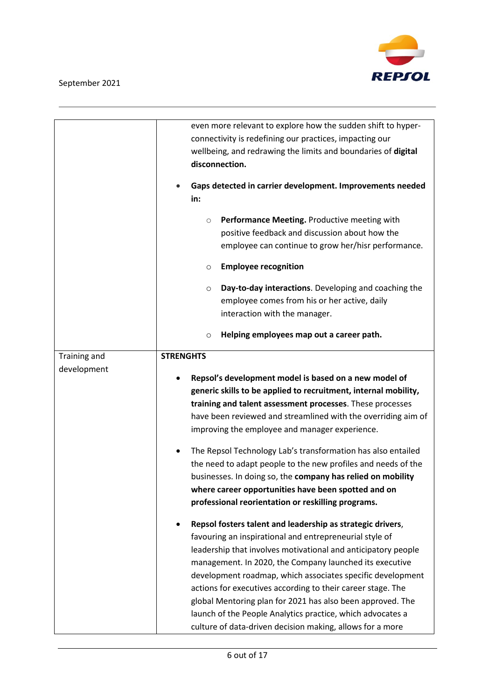

|              | even more relevant to explore how the sudden shift to hyper-        |  |  |  |
|--------------|---------------------------------------------------------------------|--|--|--|
|              | connectivity is redefining our practices, impacting our             |  |  |  |
|              | wellbeing, and redrawing the limits and boundaries of digital       |  |  |  |
|              | disconnection.                                                      |  |  |  |
|              | Gaps detected in carrier development. Improvements needed           |  |  |  |
|              | in:                                                                 |  |  |  |
|              | Performance Meeting. Productive meeting with<br>$\circlearrowright$ |  |  |  |
|              | positive feedback and discussion about how the                      |  |  |  |
|              | employee can continue to grow her/hisr performance.                 |  |  |  |
|              | <b>Employee recognition</b><br>O                                    |  |  |  |
|              | Day-to-day interactions. Developing and coaching the<br>$\circ$     |  |  |  |
|              | employee comes from his or her active, daily                        |  |  |  |
|              | interaction with the manager.                                       |  |  |  |
|              | Helping employees map out a career path.<br>$\circ$                 |  |  |  |
| Training and | <b>STRENGHTS</b>                                                    |  |  |  |
| development  |                                                                     |  |  |  |
|              | Repsol's development model is based on a new model of               |  |  |  |
|              | generic skills to be applied to recruitment, internal mobility,     |  |  |  |
|              | training and talent assessment processes. These processes           |  |  |  |
|              | have been reviewed and streamlined with the overriding aim of       |  |  |  |
|              | improving the employee and manager experience.                      |  |  |  |
|              | The Repsol Technology Lab's transformation has also entailed        |  |  |  |
|              | the need to adapt people to the new profiles and needs of the       |  |  |  |
|              | businesses. In doing so, the company has relied on mobility         |  |  |  |
|              | where career opportunities have been spotted and on                 |  |  |  |
|              |                                                                     |  |  |  |
|              | professional reorientation or reskilling programs.                  |  |  |  |
|              | Repsol fosters talent and leadership as strategic drivers,<br>٠     |  |  |  |
|              | favouring an inspirational and entrepreneurial style of             |  |  |  |
|              | leadership that involves motivational and anticipatory people       |  |  |  |
|              | management. In 2020, the Company launched its executive             |  |  |  |
|              | development roadmap, which associates specific development          |  |  |  |
|              | actions for executives according to their career stage. The         |  |  |  |
|              | global Mentoring plan for 2021 has also been approved. The          |  |  |  |
|              | launch of the People Analytics practice, which advocates a          |  |  |  |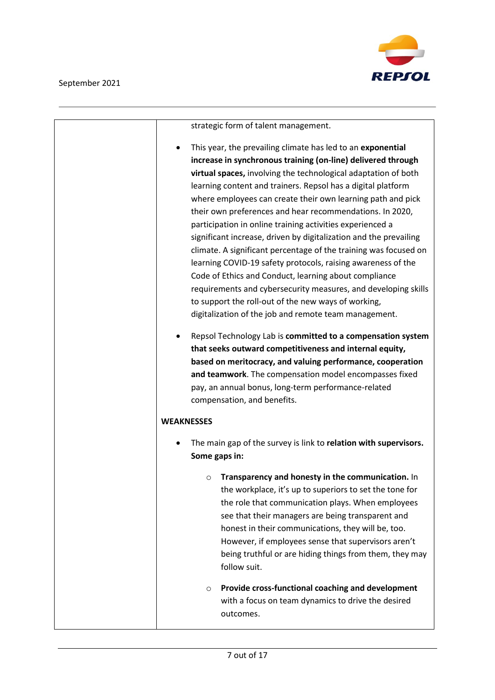

| strategic form of talent management.                                                                                                                                                                                                                                                                                                                                                                                                                                                                                                                                                                                                                                                                                                                                                                                                                                                                                                                                                                                                                                                                                                                             |
|------------------------------------------------------------------------------------------------------------------------------------------------------------------------------------------------------------------------------------------------------------------------------------------------------------------------------------------------------------------------------------------------------------------------------------------------------------------------------------------------------------------------------------------------------------------------------------------------------------------------------------------------------------------------------------------------------------------------------------------------------------------------------------------------------------------------------------------------------------------------------------------------------------------------------------------------------------------------------------------------------------------------------------------------------------------------------------------------------------------------------------------------------------------|
| This year, the prevailing climate has led to an exponential<br>٠<br>increase in synchronous training (on-line) delivered through<br>virtual spaces, involving the technological adaptation of both<br>learning content and trainers. Repsol has a digital platform<br>where employees can create their own learning path and pick<br>their own preferences and hear recommendations. In 2020,<br>participation in online training activities experienced a<br>significant increase, driven by digitalization and the prevailing<br>climate. A significant percentage of the training was focused on<br>learning COVID-19 safety protocols, raising awareness of the<br>Code of Ethics and Conduct, learning about compliance<br>requirements and cybersecurity measures, and developing skills<br>to support the roll-out of the new ways of working,<br>digitalization of the job and remote team management.<br>Repsol Technology Lab is committed to a compensation system<br>that seeks outward competitiveness and internal equity,<br>based on meritocracy, and valuing performance, cooperation<br>and teamwork. The compensation model encompasses fixed |
| pay, an annual bonus, long-term performance-related                                                                                                                                                                                                                                                                                                                                                                                                                                                                                                                                                                                                                                                                                                                                                                                                                                                                                                                                                                                                                                                                                                              |
| compensation, and benefits.                                                                                                                                                                                                                                                                                                                                                                                                                                                                                                                                                                                                                                                                                                                                                                                                                                                                                                                                                                                                                                                                                                                                      |
| <b>WEAKNESSES</b>                                                                                                                                                                                                                                                                                                                                                                                                                                                                                                                                                                                                                                                                                                                                                                                                                                                                                                                                                                                                                                                                                                                                                |
| The main gap of the survey is link to relation with supervisors.<br>Some gaps in:                                                                                                                                                                                                                                                                                                                                                                                                                                                                                                                                                                                                                                                                                                                                                                                                                                                                                                                                                                                                                                                                                |
| Transparency and honesty in the communication. In<br>O<br>the workplace, it's up to superiors to set the tone for<br>the role that communication plays. When employees<br>see that their managers are being transparent and<br>honest in their communications, they will be, too.<br>However, if employees sense that supervisors aren't<br>being truthful or are hiding things from them, they may<br>follow suit.                                                                                                                                                                                                                                                                                                                                                                                                                                                                                                                                                                                                                                                                                                                                              |
| Provide cross-functional coaching and development<br>$\circ$<br>with a focus on team dynamics to drive the desired<br>outcomes.                                                                                                                                                                                                                                                                                                                                                                                                                                                                                                                                                                                                                                                                                                                                                                                                                                                                                                                                                                                                                                  |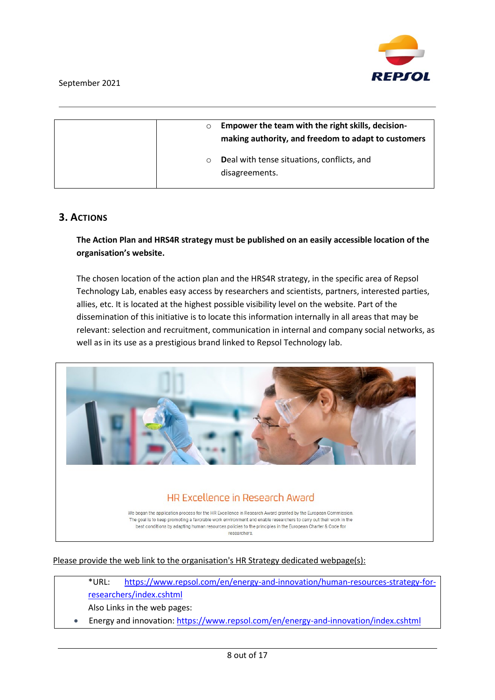

| $\circ$ | Empower the team with the right skills, decision-<br>making authority, and freedom to adapt to customers |
|---------|----------------------------------------------------------------------------------------------------------|
| $\circ$ | Deal with tense situations, conflicts, and<br>disagreements.                                             |

### **3. ACTIONS**

#### **The Action Plan and HRS4R strategy must be published on an easily accessible location of the organisation's website.**

The chosen location of the action plan and the HRS4R strategy, in the specific area of Repsol Technology Lab, enables easy access by researchers and scientists, partners, interested parties, allies, etc. It is located at the highest possible visibility level on the website. Part of the dissemination of this initiative is to locate this information internally in all areas that may be relevant: selection and recruitment, communication in internal and company social networks, as well as in its use as a prestigious brand linked to Repsol Technology lab.



Please provide the web link to the organisation's HR Strategy dedicated webpage(s):

\*URL: [https://www.repsol.com/en/energy-and-innovation/human-resources-strategy-for](https://www.repsol.com/en/energy-and-innovation/human-resources-strategy-for-researchers/index.cshtml)[researchers/index.cshtml](https://www.repsol.com/en/energy-and-innovation/human-resources-strategy-for-researchers/index.cshtml)

Also Links in the web pages:

• Energy and innovation: <https://www.repsol.com/en/energy-and-innovation/index.cshtml>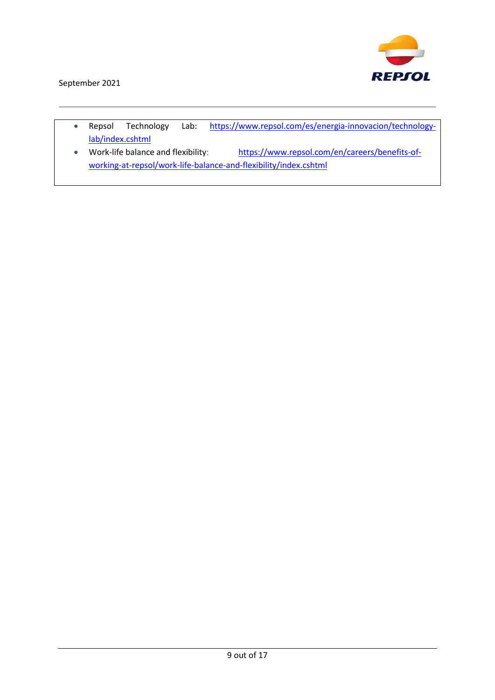

- Repsol Technology Lab: [https://www.repsol.com/es/energia-innovacion/technology](https://www.repsol.com/es/energia-innovacion/technology-lab/index.cshtml)[lab/index.cshtml](https://www.repsol.com/es/energia-innovacion/technology-lab/index.cshtml)
- Work-life balance and flexibility: [https://www.repsol.com/en/careers/benefits-of](https://www.repsol.com/en/careers/benefits-of-working-at-repsol/work-life-balance-and-flexibility/index.cshtml)[working-at-repsol/work-life-balance-and-flexibility/index.cshtml](https://www.repsol.com/en/careers/benefits-of-working-at-repsol/work-life-balance-and-flexibility/index.cshtml)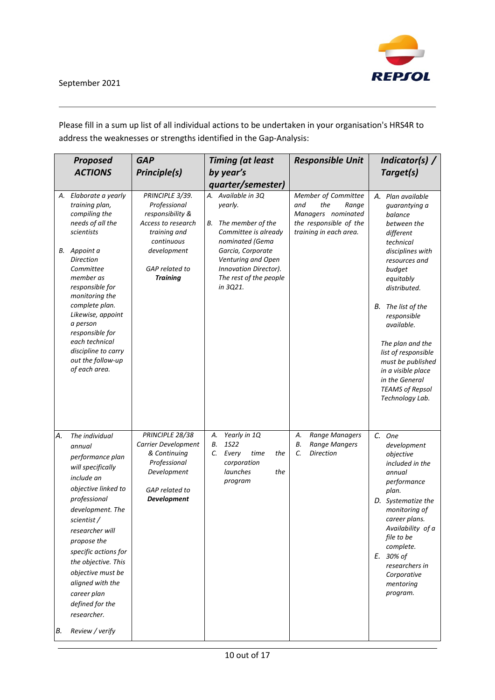

Please fill in a sum up list of all individual actions to be undertaken in your organisation's HRS4R to address the weaknesses or strengths identified in the Gap-Analysis:

|          | <b>Proposed</b>                                                                                                                                                                                                                                                                                                                                         | <b>GAP</b>                                                                                                                    | <b>Timing (at least</b>                                                                                     | <b>Responsible Unit</b>                                                                                              | Indicator(s) /                                                                                                                                                                                                                                                                      |
|----------|---------------------------------------------------------------------------------------------------------------------------------------------------------------------------------------------------------------------------------------------------------------------------------------------------------------------------------------------------------|-------------------------------------------------------------------------------------------------------------------------------|-------------------------------------------------------------------------------------------------------------|----------------------------------------------------------------------------------------------------------------------|-------------------------------------------------------------------------------------------------------------------------------------------------------------------------------------------------------------------------------------------------------------------------------------|
|          | <b>ACTIONS</b>                                                                                                                                                                                                                                                                                                                                          | <b>Principle(s)</b>                                                                                                           | by year's                                                                                                   |                                                                                                                      | Target(s)                                                                                                                                                                                                                                                                           |
|          |                                                                                                                                                                                                                                                                                                                                                         |                                                                                                                               | quarter/semester)                                                                                           |                                                                                                                      |                                                                                                                                                                                                                                                                                     |
|          | A. Elaborate a yearly<br>training plan,<br>compiling the<br>needs of all the<br>scientists                                                                                                                                                                                                                                                              | PRINCIPLE 3/39.<br>Professional<br>responsibility &<br>Access to research<br>training and<br>continuous                       | A. Available in 3Q<br>yearly.<br>The member of the<br>В.<br>Committee is already<br>nominated (Gema         | Member of Committee<br>and<br>the<br>Range<br>Managers nominated<br>the responsible of the<br>training in each area. | A. Plan available<br>guarantying a<br>balance<br>between the<br>different<br>technical                                                                                                                                                                                              |
|          | B. Appoint a<br><b>Direction</b><br>Committee<br>member as<br>responsible for<br>monitoring the<br>complete plan.<br>Likewise, appoint<br>a person<br>responsible for<br>each technical<br>discipline to carry<br>out the follow-up<br>of each area.                                                                                                    | development<br>GAP related to<br><b>Training</b>                                                                              | Garcia, Corporate<br>Venturing and Open<br>Innovation Director).<br>The rest of the people<br>in 3Q21.      |                                                                                                                      | disciplines with<br>resources and<br>budget<br>equitably<br>distributed.<br>The list of the<br>В.<br>responsible<br>available.<br>The plan and the<br>list of responsible<br>must be published<br>in a visible place<br>in the General<br><b>TEAMS of Repsol</b><br>Technology Lab. |
| Α.<br>В. | The individual<br>annual<br>performance plan<br>will specifically<br>include an<br>objective linked to<br>professional<br>development. The<br>scientist /<br>researcher will<br>propose the<br>specific actions for<br>the objective. This<br>objective must be<br>aligned with the<br>career plan<br>defined for the<br>researcher.<br>Review / verify | PRINCIPLE 28/38<br>Carrier Development<br>& Continuing<br>Professional<br>Development<br>GAP related to<br><b>Development</b> | Yearly in 1Q<br>А.<br>1S22<br>В.<br>C.<br>Every<br>time<br>the<br>corporation<br>launches<br>the<br>program | Range Managers<br>А.<br><b>Range Mangers</b><br>В.<br>C.<br><b>Direction</b>                                         | C. One<br>development<br>objective<br>included in the<br>annual<br>performance<br>plan.<br>D. Systematize the<br>monitoring of<br>career plans.<br>Availability of a<br>file to be<br>complete.<br>E. 30% of<br>researchers in<br>Corporative<br>mentoring<br>program.              |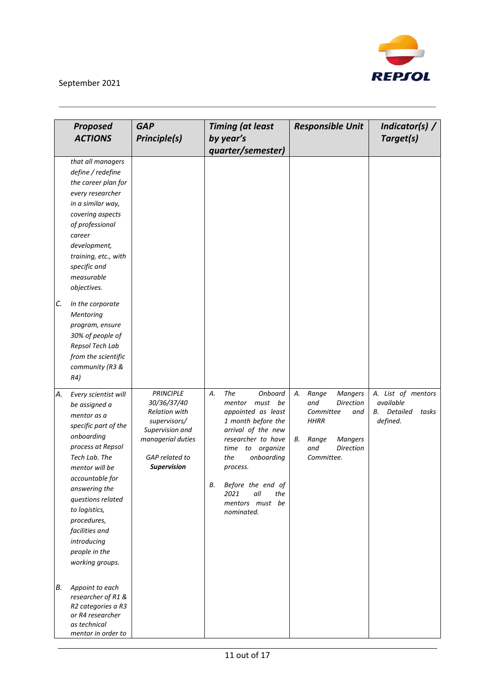

|          | <b>Proposed</b>                                                                                                                                                                                                                                                                                                                                                                          | <b>GAP</b>                                                                                                                                       | <b>Timing (at least</b>                                                                                                                                                                                                                                                        | <b>Responsible Unit</b>                                                                                                                                               | Indicator(s) /                                                                |
|----------|------------------------------------------------------------------------------------------------------------------------------------------------------------------------------------------------------------------------------------------------------------------------------------------------------------------------------------------------------------------------------------------|--------------------------------------------------------------------------------------------------------------------------------------------------|--------------------------------------------------------------------------------------------------------------------------------------------------------------------------------------------------------------------------------------------------------------------------------|-----------------------------------------------------------------------------------------------------------------------------------------------------------------------|-------------------------------------------------------------------------------|
|          | <b>ACTIONS</b>                                                                                                                                                                                                                                                                                                                                                                           | Principle(s)                                                                                                                                     | by year's<br>quarter/semester)                                                                                                                                                                                                                                                 |                                                                                                                                                                       | Target(s)                                                                     |
| C.       | that all managers<br>define / redefine<br>the career plan for<br>every researcher<br>in a similar way,<br>covering aspects<br>of professional<br>career<br>development,<br>training, etc., with<br>specific and<br>measurable<br>objectives.<br>In the corporate<br>Mentoring<br>program, ensure<br>30% of people of<br>Repsol Tech Lab<br>from the scientific<br>community (R3 &<br>R4) |                                                                                                                                                  |                                                                                                                                                                                                                                                                                |                                                                                                                                                                       |                                                                               |
| Α.<br>В. | Every scientist will<br>be assigned a<br>mentor as a<br>specific part of the<br>onboarding<br>process at Repsol<br>Tech Lab. The<br>mentor will be<br>accountable for<br>answering the<br>questions related<br>to logistics,<br>procedures,<br>facilities and<br>introducing<br>people in the<br>working groups.<br>Appoint to each                                                      | <b>PRINCIPLE</b><br>30/36/37/40<br><b>Relation with</b><br>supervisors/<br>Supervision and<br>managerial duties<br>GAP related to<br>Supervision | The<br>А.<br>Onboard<br>must<br>be<br>mentor<br>appointed as least<br>1 month before the<br>arrival of the new<br>researcher to have<br>to organize<br>time<br>onboarding<br>the<br>process.<br>В.<br>Before the end of<br>2021<br>all<br>the<br>mentors must be<br>nominated. | <b>Mangers</b><br>А.<br>Range<br>and<br><b>Direction</b><br>Committee<br>and<br><b>HHRR</b><br>Range<br><b>Mangers</b><br>В.<br>and<br><b>Direction</b><br>Committee. | A. List of mentors<br>available<br><b>Detailed</b><br>В.<br>tasks<br>defined. |
|          | researcher of R1 &<br>R2 categories a R3<br>or R4 researcher<br>as technical<br>mentor in order to                                                                                                                                                                                                                                                                                       |                                                                                                                                                  |                                                                                                                                                                                                                                                                                |                                                                                                                                                                       |                                                                               |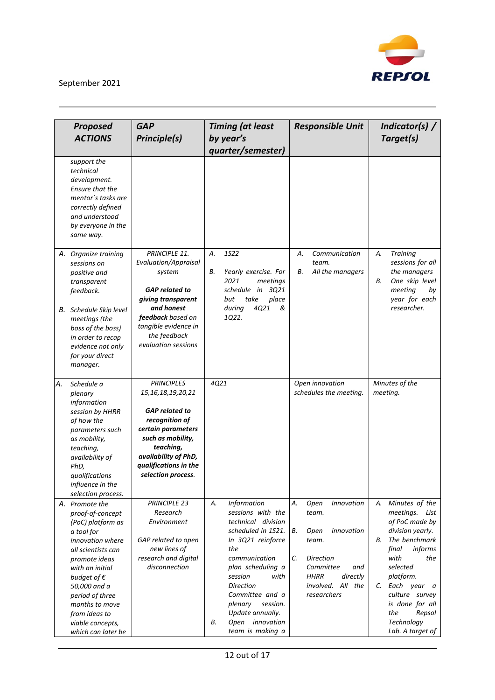

|    | <b>Proposed</b><br><b>ACTIONS</b>                                                                                                                                                                                                                                                           | <b>GAP</b><br><b>Principle(s)</b>                                                                                                                                                                                     | <b>Timing (at least</b><br>by year's<br>quarter/semester)                                                                                                                                                                                                                                                 | <b>Responsible Unit</b>                                                                                                                                                             | Indicator(s) /<br>Target(s)                                                                                                                                                                                                                                               |
|----|---------------------------------------------------------------------------------------------------------------------------------------------------------------------------------------------------------------------------------------------------------------------------------------------|-----------------------------------------------------------------------------------------------------------------------------------------------------------------------------------------------------------------------|-----------------------------------------------------------------------------------------------------------------------------------------------------------------------------------------------------------------------------------------------------------------------------------------------------------|-------------------------------------------------------------------------------------------------------------------------------------------------------------------------------------|---------------------------------------------------------------------------------------------------------------------------------------------------------------------------------------------------------------------------------------------------------------------------|
|    | support the<br>technical<br>development.<br>Ensure that the<br>mentor's tasks are<br>correctly defined<br>and understood<br>by everyone in the<br>same way.                                                                                                                                 |                                                                                                                                                                                                                       |                                                                                                                                                                                                                                                                                                           |                                                                                                                                                                                     |                                                                                                                                                                                                                                                                           |
|    | A. Organize training<br>sessions on<br>positive and<br>transparent<br>feedback.<br>B. Schedule Skip level<br>meetings (the                                                                                                                                                                  | PRINCIPLE 11.<br>Evaluation/Appraisal<br>system<br><b>GAP</b> related to<br>giving transparent<br>and honest<br>feedback based on                                                                                     | <b>1S22</b><br>А.<br>Yearly exercise. For<br>В.<br>2021<br>meetings<br>3Q21<br>schedule in<br>place<br>take<br>but<br>4Q21<br>during<br>&<br>1Q22.                                                                                                                                                        | Communication<br>А.<br>team.<br>All the managers<br>В.                                                                                                                              | <b>Training</b><br>А.<br>sessions for all<br>the managers<br>One skip level<br>В.<br>meeting<br>by<br>year for each<br>researcher.                                                                                                                                        |
|    | boss of the boss)<br>in order to recap<br>evidence not only<br>for your direct<br>manager.                                                                                                                                                                                                  | tangible evidence in<br>the feedback<br>evaluation sessions                                                                                                                                                           |                                                                                                                                                                                                                                                                                                           |                                                                                                                                                                                     |                                                                                                                                                                                                                                                                           |
| А. | Schedule a<br>plenary<br>information<br>session by HHRR<br>of how the<br>parameters such<br>as mobility,<br>teaching,<br>availability of<br>PhD,<br>qualifications<br>influence in the<br>selection process.                                                                                | <b>PRINCIPLES</b><br>15, 16, 18, 19, 20, 21<br><b>GAP</b> related to<br>recognition of<br>certain parameters<br>such as mobility,<br>teaching,<br>availability of PhD,<br>qualifications in the<br>selection process. | 4Q21                                                                                                                                                                                                                                                                                                      | Open innovation<br>schedules the meeting.                                                                                                                                           | Minutes of the<br>meeting.                                                                                                                                                                                                                                                |
|    | A. Promote the<br>proof-of-concept<br>(PoC) platform as<br>a tool for<br>innovation where<br>all scientists can<br>promote ideas<br>with an initial<br>budget of $\epsilon$<br>50,000 and a<br>period of three<br>months to move<br>from ideas to<br>viable concepts,<br>which can later be | PRINCIPLE 23<br>Research<br>Environment<br>GAP related to open<br>new lines of<br>research and digital<br>disconnection                                                                                               | Information<br>Α.<br>sessions with the<br>technical division<br>scheduled in 1S21.<br>In 3Q21 reinforce<br>the<br>communication<br>plan scheduling a<br>session<br>with<br><b>Direction</b><br>Committee and a<br>session.<br>plenary<br>Update annually.<br>innovation<br>Open<br>В.<br>team is making a | А.<br>Open<br>Innovation<br>team.<br>В.<br>innovation<br>Open<br>team.<br>C.<br><b>Direction</b><br>Committee<br>and<br><b>HHRR</b><br>directly<br>involved. All the<br>researchers | А.<br>Minutes of the<br>meetings. List<br>of PoC made by<br>division yearly.<br>The benchmark<br>В.<br>informs<br>final<br>with<br>the<br>selected<br>platform.<br>C. Each year a<br>culture survey<br>is done for all<br>Repsol<br>the<br>Technology<br>Lab. A target of |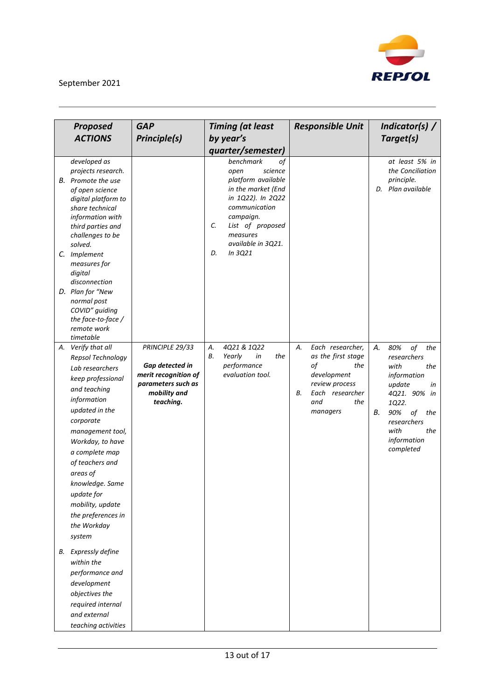

| <b>Proposed</b>                                                                                                                                                                                                                                                                              | <b>GAP</b>                                 | <b>Timing (at least</b>                                                                                                                                                                                                             | <b>Responsible Unit</b>                      | Indicator(s) /                                                        |
|----------------------------------------------------------------------------------------------------------------------------------------------------------------------------------------------------------------------------------------------------------------------------------------------|--------------------------------------------|-------------------------------------------------------------------------------------------------------------------------------------------------------------------------------------------------------------------------------------|----------------------------------------------|-----------------------------------------------------------------------|
| <b>ACTIONS</b>                                                                                                                                                                                                                                                                               | <b>Principle(s)</b>                        | by year's                                                                                                                                                                                                                           |                                              | Target(s)                                                             |
|                                                                                                                                                                                                                                                                                              |                                            |                                                                                                                                                                                                                                     |                                              |                                                                       |
| developed as<br>projects research.<br>B. Promote the use<br>of open science<br>digital platform to<br>share technical<br>information with<br>third parties and<br>challenges to be<br>solved.<br>C. Implement<br>measures for<br>digital<br>disconnection<br>D. Plan for "New<br>normal post |                                            | quarter/semester)<br>benchmark<br>of<br>science<br>open<br>platform available<br>in the market (End<br>in 1Q22). In 2Q22<br>communication<br>campaign.<br>List of proposed<br>C.<br>measures<br>available in 3Q21.<br>In 3Q21<br>D. |                                              | at least 5% in<br>the Conciliation<br>principle.<br>D. Plan available |
| COVID" guiding<br>the face-to-face /<br>remote work                                                                                                                                                                                                                                          |                                            |                                                                                                                                                                                                                                     |                                              |                                                                       |
| timetable                                                                                                                                                                                                                                                                                    |                                            |                                                                                                                                                                                                                                     |                                              |                                                                       |
| A. Verify that all<br>Repsol Technology                                                                                                                                                                                                                                                      | PRINCIPLE 29/33                            | 4Q21 & 1Q22<br>А.<br>В.<br>Yearly<br>in<br>the                                                                                                                                                                                      | Each researcher,<br>А.<br>as the first stage | А.<br>80%<br>of<br>the<br>researchers                                 |
| Lab researchers                                                                                                                                                                                                                                                                              | Gap detected in                            | performance                                                                                                                                                                                                                         | оf<br>the                                    | with<br>the                                                           |
| keep professional                                                                                                                                                                                                                                                                            | merit recognition of<br>parameters such as | evaluation tool.                                                                                                                                                                                                                    | development                                  | information                                                           |
| and teaching                                                                                                                                                                                                                                                                                 | mobility and                               |                                                                                                                                                                                                                                     | review process<br>В.<br>Each researcher      | update<br>in<br>4Q21. 90% in                                          |
| information                                                                                                                                                                                                                                                                                  | teaching.                                  |                                                                                                                                                                                                                                     | and<br>the                                   | 1Q22.                                                                 |
| updated in the                                                                                                                                                                                                                                                                               |                                            |                                                                                                                                                                                                                                     | managers                                     | 90%<br>В.<br>of<br>the                                                |
| corporate                                                                                                                                                                                                                                                                                    |                                            |                                                                                                                                                                                                                                     |                                              | researchers                                                           |
| management tool,                                                                                                                                                                                                                                                                             |                                            |                                                                                                                                                                                                                                     |                                              | with<br>the                                                           |
| Workday, to have                                                                                                                                                                                                                                                                             |                                            |                                                                                                                                                                                                                                     |                                              | information                                                           |
| a complete map                                                                                                                                                                                                                                                                               |                                            |                                                                                                                                                                                                                                     |                                              | completed                                                             |
| of teachers and                                                                                                                                                                                                                                                                              |                                            |                                                                                                                                                                                                                                     |                                              |                                                                       |
| areas of                                                                                                                                                                                                                                                                                     |                                            |                                                                                                                                                                                                                                     |                                              |                                                                       |
| knowledge. Same                                                                                                                                                                                                                                                                              |                                            |                                                                                                                                                                                                                                     |                                              |                                                                       |
| update for                                                                                                                                                                                                                                                                                   |                                            |                                                                                                                                                                                                                                     |                                              |                                                                       |
| mobility, update                                                                                                                                                                                                                                                                             |                                            |                                                                                                                                                                                                                                     |                                              |                                                                       |
| the preferences in                                                                                                                                                                                                                                                                           |                                            |                                                                                                                                                                                                                                     |                                              |                                                                       |
| the Workday                                                                                                                                                                                                                                                                                  |                                            |                                                                                                                                                                                                                                     |                                              |                                                                       |
| system                                                                                                                                                                                                                                                                                       |                                            |                                                                                                                                                                                                                                     |                                              |                                                                       |
| <b>B.</b> Expressly define                                                                                                                                                                                                                                                                   |                                            |                                                                                                                                                                                                                                     |                                              |                                                                       |
| within the                                                                                                                                                                                                                                                                                   |                                            |                                                                                                                                                                                                                                     |                                              |                                                                       |
| performance and                                                                                                                                                                                                                                                                              |                                            |                                                                                                                                                                                                                                     |                                              |                                                                       |
| development                                                                                                                                                                                                                                                                                  |                                            |                                                                                                                                                                                                                                     |                                              |                                                                       |
| objectives the                                                                                                                                                                                                                                                                               |                                            |                                                                                                                                                                                                                                     |                                              |                                                                       |
| required internal                                                                                                                                                                                                                                                                            |                                            |                                                                                                                                                                                                                                     |                                              |                                                                       |
| and external                                                                                                                                                                                                                                                                                 |                                            |                                                                                                                                                                                                                                     |                                              |                                                                       |
| teaching activities                                                                                                                                                                                                                                                                          |                                            |                                                                                                                                                                                                                                     |                                              |                                                                       |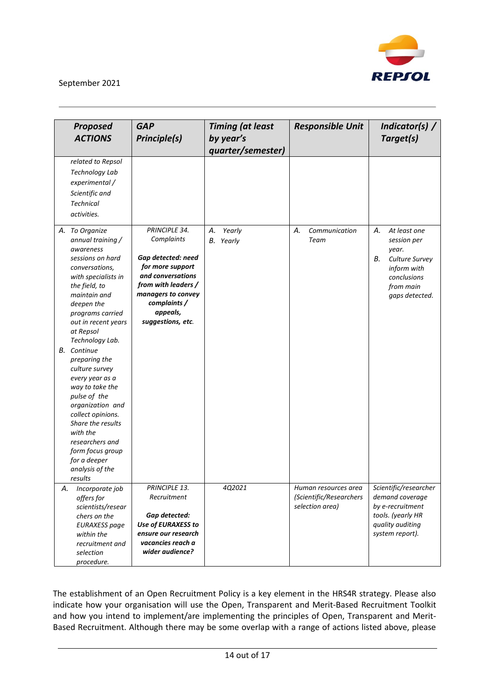

|    | <b>Proposed</b>                       | <b>GAP</b>                               | <b>Timing (at least</b> | <b>Responsible Unit</b> | Indicator(s) $/$      |
|----|---------------------------------------|------------------------------------------|-------------------------|-------------------------|-----------------------|
|    | <b>ACTIONS</b>                        | <b>Principle(s)</b>                      | by year's               |                         | Target(s)             |
|    |                                       |                                          | quarter/semester)       |                         |                       |
|    | related to Repsol                     |                                          |                         |                         |                       |
|    | Technology Lab                        |                                          |                         |                         |                       |
|    | experimental /                        |                                          |                         |                         |                       |
|    | Scientific and                        |                                          |                         |                         |                       |
|    | <b>Technical</b>                      |                                          |                         |                         |                       |
|    | activities.                           |                                          |                         |                         |                       |
|    |                                       |                                          |                         |                         |                       |
|    | A. To Organize                        | PRINCIPLE 34.                            | А.<br>Yearly            | Communication<br>А.     | А.<br>At least one    |
|    | annual training /                     | Complaints                               | Yearly<br>В.            | Team                    | session per           |
|    | awareness                             |                                          |                         |                         | year.                 |
|    | sessions on hard                      | Gap detected: need                       |                         |                         | В.<br>Culture Survey  |
|    | conversations,                        | for more support<br>and conversations    |                         |                         | inform with           |
|    | with specialists in                   | from with leaders /                      |                         |                         | conclusions           |
|    | the field, to<br>maintain and         | managers to convey                       |                         |                         | from main             |
|    | deepen the                            | complaints /                             |                         |                         | gaps detected.        |
|    | programs carried                      | appeals,                                 |                         |                         |                       |
|    | out in recent years                   | suggestions, etc.                        |                         |                         |                       |
|    | at Repsol                             |                                          |                         |                         |                       |
|    | Technology Lab.                       |                                          |                         |                         |                       |
|    | <b>B.</b> Continue                    |                                          |                         |                         |                       |
|    | preparing the                         |                                          |                         |                         |                       |
|    | culture survey                        |                                          |                         |                         |                       |
|    | every year as a                       |                                          |                         |                         |                       |
|    | way to take the                       |                                          |                         |                         |                       |
|    | pulse of the                          |                                          |                         |                         |                       |
|    | organization and<br>collect opinions. |                                          |                         |                         |                       |
|    | Share the results                     |                                          |                         |                         |                       |
|    | with the                              |                                          |                         |                         |                       |
|    | researchers and                       |                                          |                         |                         |                       |
|    | form focus group                      |                                          |                         |                         |                       |
|    | for a deeper                          |                                          |                         |                         |                       |
|    | analysis of the                       |                                          |                         |                         |                       |
|    | results                               |                                          |                         |                         |                       |
| А. | Incorporate job                       | PRINCIPLE 13.                            | 4Q2021                  | Human resources area    | Scientific/researcher |
|    | offers for                            | Recruitment                              |                         | (Scientific/Researchers | demand coverage       |
|    | scientists/resear                     |                                          |                         | selection area)         | by e-recruitment      |
|    | chers on the                          | Gap detected:                            |                         |                         | tools. (yearly HR     |
|    | <b>EURAXESS</b> page                  | Use of EURAXESS to                       |                         |                         | quality auditing      |
|    | within the                            | ensure our research<br>vacancies reach a |                         |                         | system report).       |
|    | recruitment and                       | wider audience?                          |                         |                         |                       |
|    | selection                             |                                          |                         |                         |                       |
|    | procedure.                            |                                          |                         |                         |                       |

The establishment of an Open Recruitment Policy is a key element in the HRS4R strategy. Please also indicate how your organisation will use the Open, Transparent and Merit-Based Recruitment Toolkit and how you intend to implement/are implementing the principles of Open, Transparent and Merit-Based Recruitment. Although there may be some overlap with a range of actions listed above, please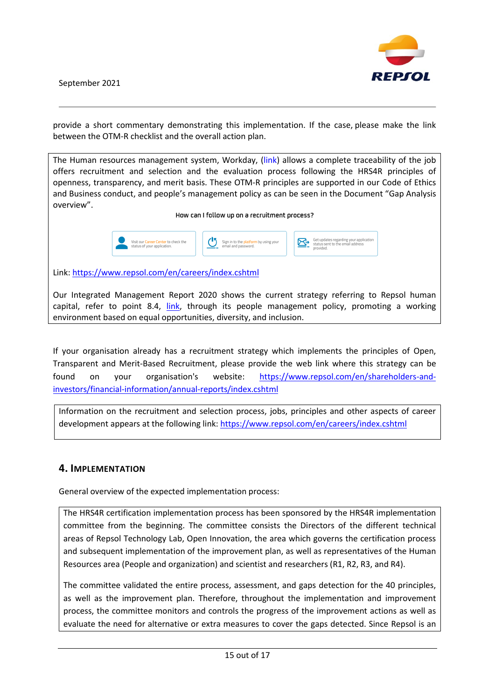

provide a short commentary demonstrating this implementation. If the case, please make the link between the OTM-R checklist and the overall action plan.

The Human resources management system, Workday, [\(link\)](https://repsol.wd3.myworkdayjobs.com/en/Repsol) allows a complete traceability of the job offers recruitment and selection and the evaluation process following the HRS4R principles of openness, transparency, and merit basis. These OTM-R principles are supported in our Code of Ethics and Business conduct, and people's management policy as can be seen in the Document "Gap Analysis overview".

How can I follow up on a recruitment process?



Link:<https://www.repsol.com/en/careers/index.cshtml>

Our Integrated Management Report 2020 shows the current strategy referring to Repsol human capital, refer to point 8.4, link, through its people management policy, promoting a working environment based on equal opportunities, diversity, and inclusion.

If your organisation already has a recruitment strategy which implements the principles of Open, Transparent and Merit-Based Recruitment, please provide the web link where this strategy can be found on your organisation's website: [https://www.repsol.com/en/shareholders-and](https://www.repsol.com/en/shareholders-and-investors/financial-information/annual-reports/index.cshtml)[investors/financial-information/annual-reports/index.cshtml](https://www.repsol.com/en/shareholders-and-investors/financial-information/annual-reports/index.cshtml)

Information on the recruitment and selection process, jobs, principles and other aspects of career development appears at the following link:<https://www.repsol.com/en/careers/index.cshtml>

### **4. IMPLEMENTATION**

General overview of the expected implementation process:

The HRS4R certification implementation process has been sponsored by the HRS4R implementation committee from the beginning. The committee consists the Directors of the different technical areas of Repsol Technology Lab, Open Innovation, the area which governs the certification process and subsequent implementation of the improvement plan, as well as representatives of the Human Resources area (People and organization) and scientist and researchers (R1, R2, R3, and R4).

The committee validated the entire process, assessment, and gaps detection for the 40 principles, as well as the improvement plan. Therefore, throughout the implementation and improvement process, the committee monitors and controls the progress of the improvement actions as well as evaluate the need for alternative or extra measures to cover the gaps detected. Since Repsol is an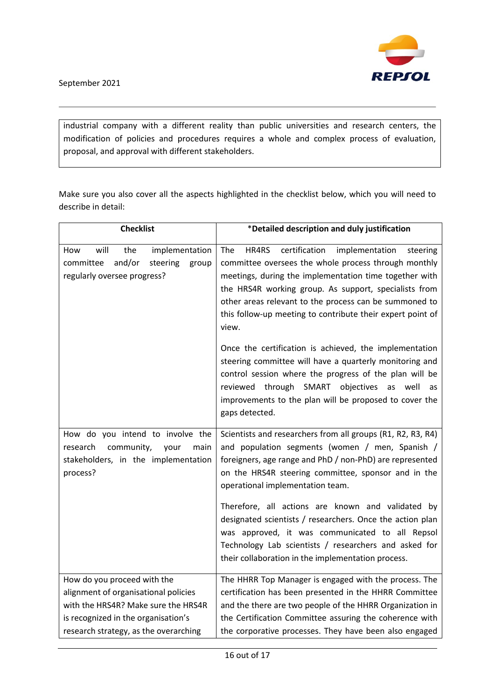

industrial company with a different reality than public universities and research centers, the modification of policies and procedures requires a whole and complex process of evaluation, proposal, and approval with different stakeholders.

Make sure you also cover all the aspects highlighted in the checklist below, which you will need to describe in detail:

| <b>Checklist</b>                                                                                                              | *Detailed description and duly justification                                                                                                                                                                                                                                                                                                                            |  |
|-------------------------------------------------------------------------------------------------------------------------------|-------------------------------------------------------------------------------------------------------------------------------------------------------------------------------------------------------------------------------------------------------------------------------------------------------------------------------------------------------------------------|--|
| the<br>will<br>implementation<br>How<br>and/or<br>committee<br>steering<br>group<br>regularly oversee progress?               | certification<br>HR4RS<br>The<br>implementation<br>steering<br>committee oversees the whole process through monthly<br>meetings, during the implementation time together with<br>the HRS4R working group. As support, specialists from<br>other areas relevant to the process can be summoned to<br>this follow-up meeting to contribute their expert point of<br>view. |  |
|                                                                                                                               | Once the certification is achieved, the implementation<br>steering committee will have a quarterly monitoring and<br>control session where the progress of the plan will be<br>reviewed through SMART objectives as well<br>as<br>improvements to the plan will be proposed to cover the<br>gaps detected.                                                              |  |
| How do you intend to involve the<br>community,<br>research<br>your<br>main<br>stakeholders, in the implementation<br>process? | Scientists and researchers from all groups (R1, R2, R3, R4)<br>and population segments (women / men, Spanish /<br>foreigners, age range and PhD / non-PhD) are represented<br>on the HRS4R steering committee, sponsor and in the<br>operational implementation team.                                                                                                   |  |
|                                                                                                                               | Therefore, all actions are known and validated by<br>designated scientists / researchers. Once the action plan<br>was approved, it was communicated to all Repsol<br>Technology Lab scientists / researchers and asked for<br>their collaboration in the implementation process.                                                                                        |  |
| How do you proceed with the                                                                                                   | The HHRR Top Manager is engaged with the process. The                                                                                                                                                                                                                                                                                                                   |  |
| alignment of organisational policies                                                                                          | certification has been presented in the HHRR Committee                                                                                                                                                                                                                                                                                                                  |  |
| with the HRS4R? Make sure the HRS4R                                                                                           | and the there are two people of the HHRR Organization in                                                                                                                                                                                                                                                                                                                |  |
| is recognized in the organisation's                                                                                           | the Certification Committee assuring the coherence with                                                                                                                                                                                                                                                                                                                 |  |
| research strategy, as the overarching                                                                                         | the corporative processes. They have been also engaged                                                                                                                                                                                                                                                                                                                  |  |